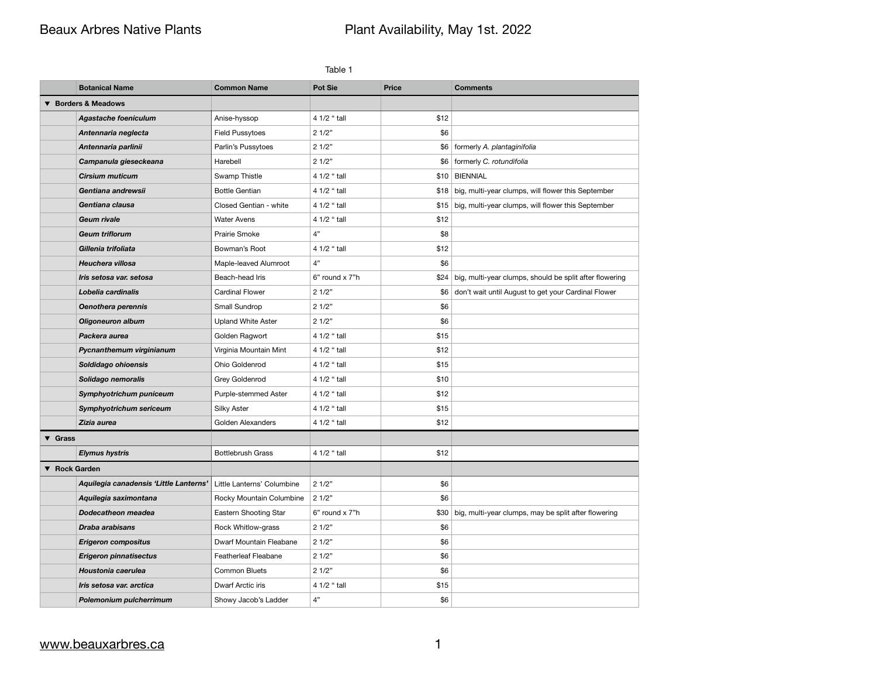# Beaux Arbres Native Plants **Plant Availability, May 1st. 2022**

| Table 1                    |                                        |                             |                |              |                                                         |  |  |  |
|----------------------------|----------------------------------------|-----------------------------|----------------|--------------|---------------------------------------------------------|--|--|--|
|                            | <b>Botanical Name</b>                  | <b>Common Name</b>          | <b>Pot Sie</b> | <b>Price</b> | <b>Comments</b>                                         |  |  |  |
|                            | <b>Borders &amp; Meadows</b>           |                             |                |              |                                                         |  |  |  |
|                            | <b>Agastache foeniculum</b>            | Anise-hyssop                | 4 1/2 " tall   | \$12         |                                                         |  |  |  |
|                            | Antennaria neglecta                    | <b>Field Pussytoes</b>      | 21/2"          | \$6          |                                                         |  |  |  |
|                            | Antennaria parlinii                    | Parlin's Pussytoes          | 21/2"          |              | \$6   formerly A. plantaginifolia                       |  |  |  |
|                            | Campanula gieseckeana                  | Harebell                    | 21/2"          | \$6          | formerly C. rotundifolia                                |  |  |  |
|                            | <b>Cirsium muticum</b>                 | Swamp Thistle               | 4 1/2 " tall   |              | \$10   BIENNIAL                                         |  |  |  |
|                            | Gentiana andrewsii                     | <b>Bottle Gentian</b>       | 4 1/2 " tall   | \$18         | big, multi-year clumps, will flower this September      |  |  |  |
|                            | Gentiana clausa                        | Closed Gentian - white      | 4 1/2 " tall   | \$15         | big, multi-year clumps, will flower this September      |  |  |  |
|                            | <b>Geum rivale</b>                     | <b>Water Avens</b>          | 4 1/2 " tall   | \$12         |                                                         |  |  |  |
|                            | <b>Geum triflorum</b>                  | Prairie Smoke               | 4"             | \$8          |                                                         |  |  |  |
|                            | Gillenia trifoliata                    | Bowman's Root               | 4 1/2 " tall   | \$12         |                                                         |  |  |  |
|                            | Heuchera villosa                       | Maple-leaved Alumroot       | 4"             | \$6          |                                                         |  |  |  |
|                            | Iris setosa var. setosa                | Beach-head Iris             | 6" round x 7"h | \$24         | big, multi-year clumps, should be split after flowering |  |  |  |
|                            | Lobelia cardinalis                     | <b>Cardinal Flower</b>      | 21/2"          | \$6          | don't wait until August to get your Cardinal Flower     |  |  |  |
|                            | <b>Oenothera perennis</b>              | Small Sundrop               | 21/2"          | \$6          |                                                         |  |  |  |
|                            | <b>Oligoneuron album</b>               | <b>Upland White Aster</b>   | 21/2"          | \$6          |                                                         |  |  |  |
|                            | Packera aurea                          | Golden Ragwort              | 4 1/2 " tall   | \$15         |                                                         |  |  |  |
|                            | Pycnanthemum virginianum               | Virginia Mountain Mint      | 4 1/2 " tall   | \$12         |                                                         |  |  |  |
|                            | Soldidago ohioensis                    | Ohio Goldenrod              | 4 1/2 " tall   | \$15         |                                                         |  |  |  |
|                            | Solidago nemoralis                     | Grey Goldenrod              | 4 1/2 " tall   | \$10         |                                                         |  |  |  |
|                            | Symphyotrichum puniceum                | Purple-stemmed Aster        | 4 1/2 " tall   | \$12         |                                                         |  |  |  |
|                            | Symphyotrichum sericeum                | <b>Silky Aster</b>          | 4 1/2 " tall   | \$15         |                                                         |  |  |  |
|                            | Zizia aurea                            | <b>Golden Alexanders</b>    | 4 1/2 " tall   | \$12         |                                                         |  |  |  |
| $\blacktriangledown$ Grass |                                        |                             |                |              |                                                         |  |  |  |
|                            | <b>Elymus hystris</b>                  | <b>Bottlebrush Grass</b>    | 4 1/2 " tall   | \$12         |                                                         |  |  |  |
| ▼ Rock Garden              |                                        |                             |                |              |                                                         |  |  |  |
|                            | Aquilegia canadensis 'Little Lanterns' | Little Lanterns' Columbine  | 21/2"          | \$6          |                                                         |  |  |  |
|                            | Aquilegia saximontana                  | Rocky Mountain Columbine    | 21/2"          | \$6          |                                                         |  |  |  |
|                            | Dodecatheon meadea                     | Eastern Shooting Star       | 6" round x 7"h | \$30         | big, multi-year clumps, may be split after flowering    |  |  |  |
|                            | Draba arabisans                        | Rock Whitlow-grass          | 21/2"          | \$6          |                                                         |  |  |  |
|                            | <b>Erigeron compositus</b>             | Dwarf Mountain Fleabane     | 21/2"          | \$6          |                                                         |  |  |  |
|                            | <b>Erigeron pinnatisectus</b>          | <b>Featherleaf Fleabane</b> | 21/2"          | \$6          |                                                         |  |  |  |
|                            | Houstonia caerulea                     | <b>Common Bluets</b>        | 21/2"          | \$6          |                                                         |  |  |  |
|                            | Iris setosa var. arctica               | Dwarf Arctic iris           | 4 1/2 " tall   | \$15         |                                                         |  |  |  |
|                            | Polemonium pulcherrimum                | Showy Jacob's Ladder        | 4"             | \$6          |                                                         |  |  |  |

## [www.beauxarbres.ca](http://www.beauxarbres.ca) 1